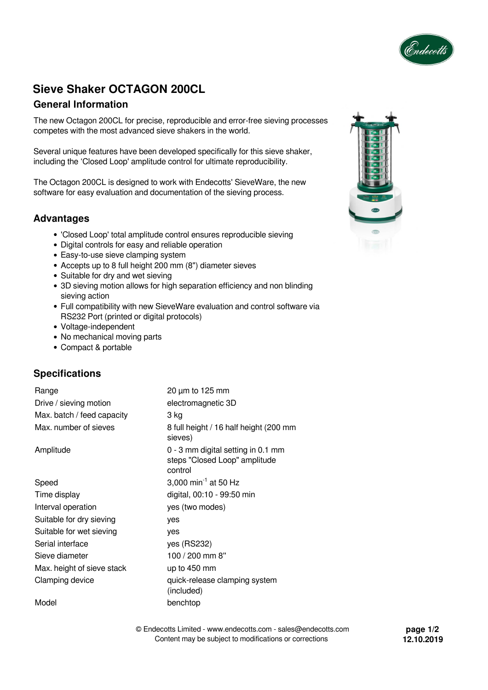

# **Sieve Shaker OCTAGON 200CL**

## **General Information**

The new Octagon 200CL for precise, reproducible and error-free sieving processes competes with the most advanced sieve shakers in the world.

Several unique features have been developed specifically for this sieve shaker, including the 'Closed Loop' amplitude control for ultimate reproducibility.

The Octagon 200CL is designed to work with Endecotts' SieveWare, the new software for easy evaluation and documentation of the sieving process.

## **Advantages**

- 'Closed Loop' total amplitude control ensures reproducible sieving
- Digital controls for easy and reliable operation
- Easy-to-use sieve clamping system
- Accepts up to 8 full height 200 mm (8") diameter sieves
- Suitable for dry and wet sieving
- 3D sieving motion allows for high separation efficiency and non blinding sieving action
- Full compatibility with new SieveWare evaluation and control software via RS232 Port (printed or digital protocols)
- Voltage-independent
- No mechanical moving parts
- Compact & portable

## **Specifications**

| Range                      | $20 \mu m$ to 125 mm                                                           |  |
|----------------------------|--------------------------------------------------------------------------------|--|
| Drive / sieving motion     | electromagnetic 3D                                                             |  |
| Max. batch / feed capacity | 3 kg                                                                           |  |
| Max. number of sieves      | 8 full height / 16 half height (200 mm<br>sieves)                              |  |
| Amplitude                  | 0 - 3 mm digital setting in 0.1 mm<br>steps "Closed Loop" amplitude<br>control |  |
| Speed                      | 3,000 min <sup>-1</sup> at 50 Hz                                               |  |
| Time display               | digital, 00:10 - 99:50 min                                                     |  |
| Interval operation         | yes (two modes)                                                                |  |
| Suitable for dry sieving   | yes                                                                            |  |
| Suitable for wet sieving   | yes                                                                            |  |
| Serial interface           | yes (RS232)                                                                    |  |
| Sieve diameter             | 100 / 200 mm 8"                                                                |  |
| Max. height of sieve stack | up to 450 mm                                                                   |  |
| Clamping device            | quick-release clamping system<br>(included)                                    |  |
| Model                      | benchtop                                                                       |  |

© Endecotts Limited - www.endecotts.com - sales@endecotts.com Content may be subject to modifications or corrections



**page 1/2 12.10.2019**